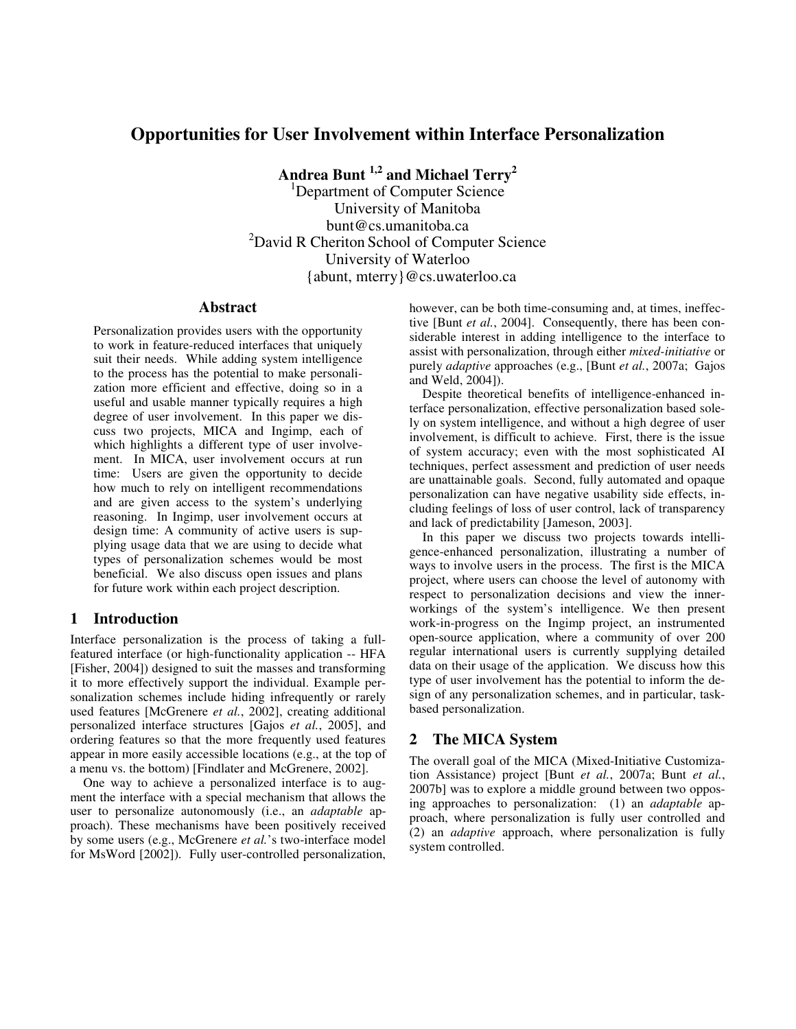# **Opportunities for User Involvement within Interface Personalization**

**Andrea Bunt 1,2 and Michael Terry<sup>2</sup>**

<sup>1</sup>Department of Computer Science University of Manitoba bunt@cs.umanitoba.ca <sup>2</sup>David R Cheriton School of Computer Science University of Waterloo {abunt, mterry}@cs.uwaterloo.ca

### **Abstract**

Personalization provides users with the opportunity to work in feature-reduced interfaces that uniquely suit their needs. While adding system intelligence to the process has the potential to make personalization more efficient and effective, doing so in a useful and usable manner typically requires a high degree of user involvement. In this paper we discuss two projects, MICA and Ingimp, each of which highlights a different type of user involvement. In MICA, user involvement occurs at run time: Users are given the opportunity to decide how much to rely on intelligent recommendations and are given access to the system's underlying reasoning. In Ingimp, user involvement occurs at design time: A community of active users is supplying usage data that we are using to decide what types of personalization schemes would be most beneficial. We also discuss open issues and plans for future work within each project description.

## **1 Introduction**

Interface personalization is the process of taking a fullfeatured interface (or high-functionality application -- HFA [Fisher, 2004]) designed to suit the masses and transforming it to more effectively support the individual. Example personalization schemes include hiding infrequently or rarely used features [McGrenere *et al.*, 2002], creating additional personalized interface structures [Gajos *et al.*, 2005], and ordering features so that the more frequently used features appear in more easily accessible locations (e.g., at the top of a menu vs. the bottom) [Findlater and McGrenere, 2002].

One way to achieve a personalized interface is to augment the interface with a special mechanism that allows the user to personalize autonomously (i.e., an *adaptable* approach). These mechanisms have been positively received by some users (e.g., McGrenere *et al.*'s two-interface model for MsWord [2002]). Fully user-controlled personalization, however, can be both time-consuming and, at times, ineffective [Bunt *et al.*, 2004]. Consequently, there has been considerable interest in adding intelligence to the interface to assist with personalization, through either *mixed-initiative* or purely *adaptive* approaches (e.g., [Bunt *et al.*, 2007a; Gajos and Weld, 2004]).

Despite theoretical benefits of intelligence-enhanced interface personalization, effective personalization based solely on system intelligence, and without a high degree of user involvement, is difficult to achieve. First, there is the issue of system accuracy; even with the most sophisticated AI techniques, perfect assessment and prediction of user needs are unattainable goals. Second, fully automated and opaque personalization can have negative usability side effects, including feelings of loss of user control, lack of transparency and lack of predictability [Jameson, 2003].

In this paper we discuss two projects towards intelligence-enhanced personalization, illustrating a number of ways to involve users in the process. The first is the MICA project, where users can choose the level of autonomy with respect to personalization decisions and view the innerworkings of the system's intelligence. We then present work-in-progress on the Ingimp project, an instrumented open-source application, where a community of over 200 regular international users is currently supplying detailed data on their usage of the application. We discuss how this type of user involvement has the potential to inform the design of any personalization schemes, and in particular, taskbased personalization.

## **2 The MICA System**

The overall goal of the MICA (Mixed-Initiative Customization Assistance) project [Bunt *et al.*, 2007a; Bunt *et al.*, 2007b] was to explore a middle ground between two opposing approaches to personalization: (1) an *adaptable* approach, where personalization is fully user controlled and (2) an *adaptive* approach, where personalization is fully system controlled.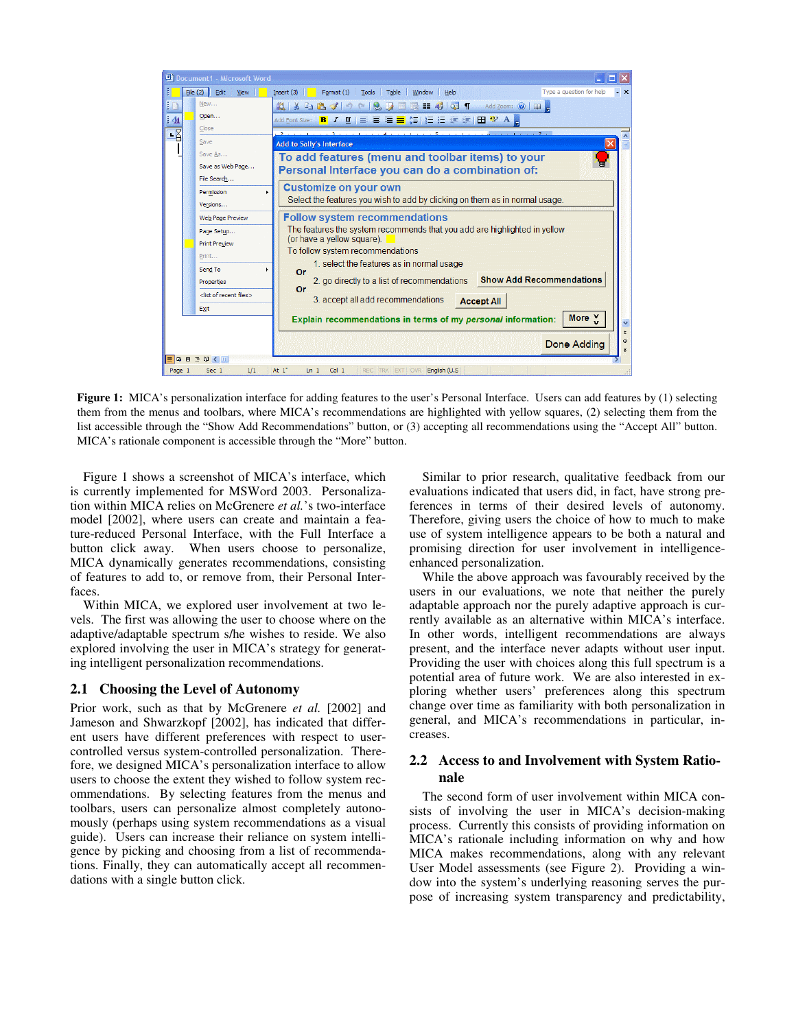

**Figure 1:** MICA's personalization interface for adding features to the user's Personal Interface. Users can add features by (1) selecting them from the menus and toolbars, where MICA's recommendations are highlighted with yellow squares, (2) selecting them from the list accessible through the "Show Add Recommendations" button, or (3) accepting all recommendations using the "Accept All" button. MICA's rationale component is accessible through the "More" button.

Figure 1 shows a screenshot of MICA's interface, which is currently implemented for MSWord 2003. Personalization within MICA relies on McGrenere *et al.*'s two-interface model [2002], where users can create and maintain a feature-reduced Personal Interface, with the Full Interface a button click away. When users choose to personalize, MICA dynamically generates recommendations, consisting of features to add to, or remove from, their Personal Interfaces.

Within MICA, we explored user involvement at two levels. The first was allowing the user to choose where on the adaptive/adaptable spectrum s/he wishes to reside. We also explored involving the user in MICA's strategy for generating intelligent personalization recommendations.

#### **2.1 Choosing the Level of Autonomy**

Prior work, such as that by McGrenere *et al.* [2002] and Jameson and Shwarzkopf [2002], has indicated that different users have different preferences with respect to usercontrolled versus system-controlled personalization. Therefore, we designed MICA's personalization interface to allow users to choose the extent they wished to follow system recommendations. By selecting features from the menus and toolbars, users can personalize almost completely autonomously (perhaps using system recommendations as a visual guide). Users can increase their reliance on system intelligence by picking and choosing from a list of recommendations. Finally, they can automatically accept all recommendations with a single button click.

Similar to prior research, qualitative feedback from our evaluations indicated that users did, in fact, have strong preferences in terms of their desired levels of autonomy. Therefore, giving users the choice of how to much to make use of system intelligence appears to be both a natural and promising direction for user involvement in intelligenceenhanced personalization.

While the above approach was favourably received by the users in our evaluations, we note that neither the purely adaptable approach nor the purely adaptive approach is currently available as an alternative within MICA's interface. In other words, intelligent recommendations are always present, and the interface never adapts without user input. Providing the user with choices along this full spectrum is a potential area of future work. We are also interested in exploring whether users' preferences along this spectrum change over time as familiarity with both personalization in general, and MICA's recommendations in particular, increases.

### **2.2 Access to and Involvement with System Rationale**

The second form of user involvement within MICA consists of involving the user in MICA's decision-making process. Currently this consists of providing information on MICA's rationale including information on why and how MICA makes recommendations, along with any relevant User Model assessments (see Figure 2). Providing a window into the system's underlying reasoning serves the purpose of increasing system transparency and predictability,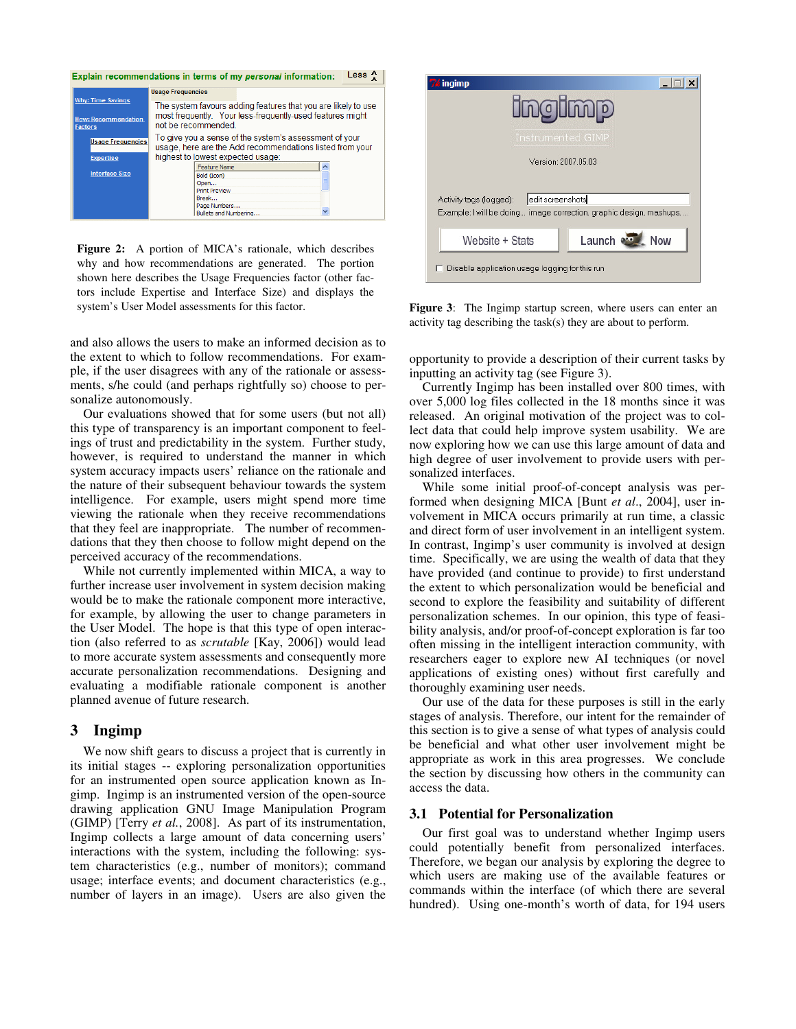|                                              | Explain recommendations in terms of my personal information:                                                       | Less |
|----------------------------------------------|--------------------------------------------------------------------------------------------------------------------|------|
|                                              | <b>Usage Frequencies</b>                                                                                           |      |
| <b>Why: Time Savings</b>                     | The system favours adding features that you are likely to use                                                      |      |
| <b>How: Recommendation</b><br><b>Factors</b> | most frequently. Your less-frequently-used features might<br>not be recommended.                                   |      |
| <b>Usage Frequencies</b>                     | To give you a sense of the system's assessment of your<br>usage, here are the Add recommendations listed from your |      |
| <b>Expertise</b>                             | highest to lowest expected usage:                                                                                  |      |
| <b>Interface Size</b>                        | <b>Feature Name</b>                                                                                                |      |
|                                              | Bold (Icon)                                                                                                        |      |
|                                              | Open                                                                                                               |      |
|                                              | <b>Print Preview</b>                                                                                               |      |
|                                              | Break                                                                                                              |      |
|                                              | Page Numbers                                                                                                       |      |
|                                              | Bullets and Numbering                                                                                              |      |

**Figure 2:** A portion of MICA's rationale, which describes why and how recommendations are generated. The portion shown here describes the Usage Frequencies factor (other factors include Expertise and Interface Size) and displays the system's User Model assessments for this factor. **Figure 3**: The Ingimp startup screen, where users can enter an

and also allows the users to make an informed decision as to the extent to which to follow recommendations. For example, if the user disagrees with any of the rationale or assessments, s/he could (and perhaps rightfully so) choose to personalize autonomously.

Our evaluations showed that for some users (but not all) this type of transparency is an important component to feelings of trust and predictability in the system. Further study, however, is required to understand the manner in which system accuracy impacts users' reliance on the rationale and the nature of their subsequent behaviour towards the system intelligence. For example, users might spend more time viewing the rationale when they receive recommendations that they feel are inappropriate. The number of recommendations that they then choose to follow might depend on the perceived accuracy of the recommendations.

While not currently implemented within MICA, a way to further increase user involvement in system decision making would be to make the rationale component more interactive, for example, by allowing the user to change parameters in the User Model. The hope is that this type of open interaction (also referred to as *scrutable* [Kay, 2006]) would lead to more accurate system assessments and consequently more accurate personalization recommendations. Designing and evaluating a modifiable rationale component is another planned avenue of future research.

### **3 Ingimp**

We now shift gears to discuss a project that is currently in its initial stages -- exploring personalization opportunities for an instrumented open source application known as Ingimp. Ingimp is an instrumented version of the open-source drawing application GNU Image Manipulation Program (GIMP) [Terry *et al.*, 2008]. As part of its instrumentation, Ingimp collects a large amount of data concerning users' interactions with the system, including the following: system characteristics (e.g., number of monitors); command usage; interface events; and document characteristics (e.g., number of layers in an image). Users are also given the



activity tag describing the task(s) they are about to perform.

opportunity to provide a description of their current tasks by inputting an activity tag (see Figure 3).

Currently Ingimp has been installed over 800 times, with over 5,000 log files collected in the 18 months since it was released. An original motivation of the project was to collect data that could help improve system usability. We are now exploring how we can use this large amount of data and high degree of user involvement to provide users with personalized interfaces.

While some initial proof-of-concept analysis was performed when designing MICA [Bunt *et al*., 2004], user involvement in MICA occurs primarily at run time, a classic and direct form of user involvement in an intelligent system. In contrast, Ingimp's user community is involved at design time. Specifically, we are using the wealth of data that they have provided (and continue to provide) to first understand the extent to which personalization would be beneficial and second to explore the feasibility and suitability of different personalization schemes. In our opinion, this type of feasibility analysis, and/or proof-of-concept exploration is far too often missing in the intelligent interaction community, with researchers eager to explore new AI techniques (or novel applications of existing ones) without first carefully and thoroughly examining user needs.

Our use of the data for these purposes is still in the early stages of analysis. Therefore, our intent for the remainder of this section is to give a sense of what types of analysis could be beneficial and what other user involvement might be appropriate as work in this area progresses. We conclude the section by discussing how others in the community can access the data.

### **3.1 Potential for Personalization**

Our first goal was to understand whether Ingimp users could potentially benefit from personalized interfaces. Therefore, we began our analysis by exploring the degree to which users are making use of the available features or commands within the interface (of which there are several hundred). Using one-month's worth of data, for 194 users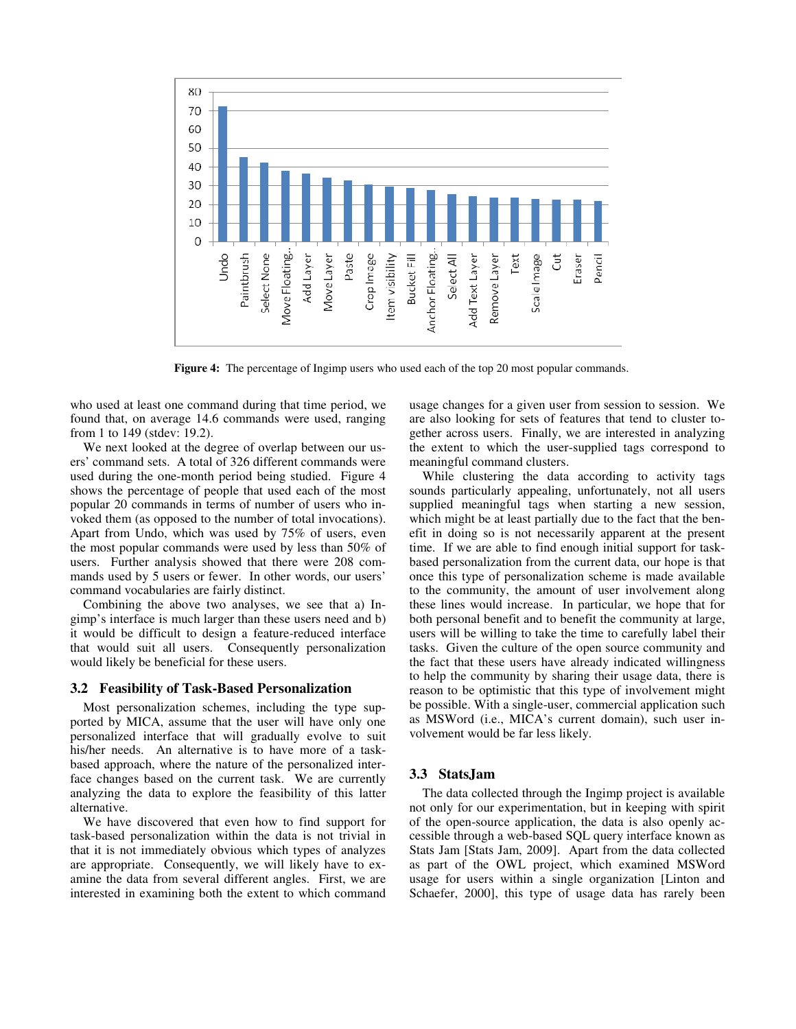

**Figure 4:** The percentage of Ingimp users who used each of the top 20 most popular commands.

who used at least one command during that time period, we found that, on average 14.6 commands were used, ranging from 1 to 149 (stdev: 19.2).

We next looked at the degree of overlap between our users' command sets. A total of 326 different commands were used during the one-month period being studied. Figure 4 shows the percentage of people that used each of the most popular 20 commands in terms of number of users who invoked them (as opposed to the number of total invocations). Apart from Undo, which was used by 75% of users, even the most popular commands were used by less than 50% of users. Further analysis showed that there were 208 commands used by 5 users or fewer. In other words, our users' command vocabularies are fairly distinct.

Combining the above two analyses, we see that a) Ingimp's interface is much larger than these users need and b) it would be difficult to design a feature-reduced interface that would suit all users. Consequently personalization would likely be beneficial for these users.

#### **3.2 Feasibility of Task-Based Personalization**

Most personalization schemes, including the type supported by MICA, assume that the user will have only one personalized interface that will gradually evolve to suit his/her needs. An alternative is to have more of a taskbased approach, where the nature of the personalized interface changes based on the current task. We are currently analyzing the data to explore the feasibility of this latter alternative.

We have discovered that even how to find support for task-based personalization within the data is not trivial in that it is not immediately obvious which types of analyzes are appropriate. Consequently, we will likely have to examine the data from several different angles. First, we are interested in examining both the extent to which command usage changes for a given user from session to session. We are also looking for sets of features that tend to cluster together across users. Finally, we are interested in analyzing the extent to which the user-supplied tags correspond to meaningful command clusters.

While clustering the data according to activity tags sounds particularly appealing, unfortunately, not all users supplied meaningful tags when starting a new session, which might be at least partially due to the fact that the benefit in doing so is not necessarily apparent at the present time. If we are able to find enough initial support for taskbased personalization from the current data, our hope is that once this type of personalization scheme is made available to the community, the amount of user involvement along these lines would increase. In particular, we hope that for both personal benefit and to benefit the community at large, users will be willing to take the time to carefully label their tasks. Given the culture of the open source community and the fact that these users have already indicated willingness to help the community by sharing their usage data, there is reason to be optimistic that this type of involvement might be possible. With a single-user, commercial application such as MSWord (i.e., MICA's current domain), such user involvement would be far less likely.

#### **3.3 StatsJam**

The data collected through the Ingimp project is available not only for our experimentation, but in keeping with spirit of the open-source application, the data is also openly accessible through a web-based SQL query interface known as Stats Jam [Stats Jam, 2009]. Apart from the data collected as part of the OWL project, which examined MSWord usage for users within a single organization [Linton and Schaefer, 2000], this type of usage data has rarely been